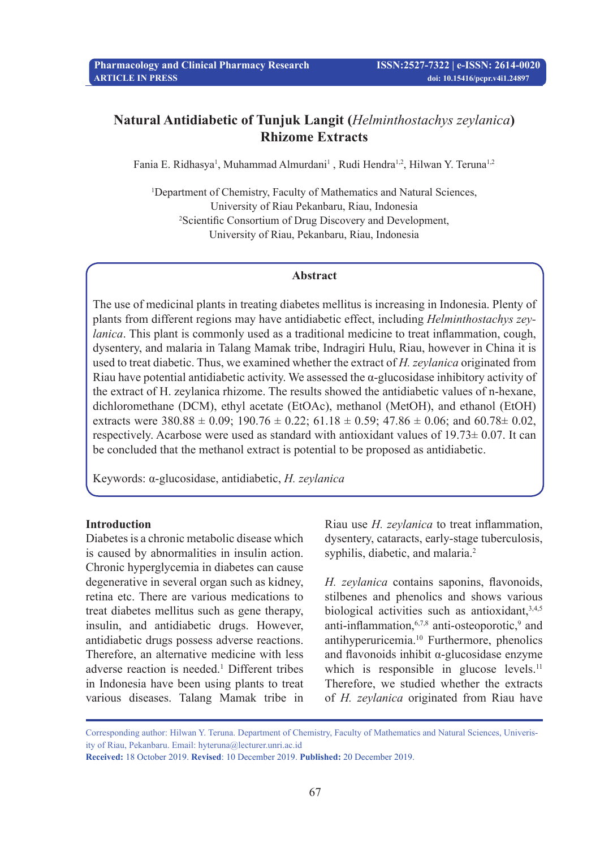# **Natural Antidiabetic of Tunjuk Langit (***Helminthostachys zeylanica***) Rhizome Extracts**

Fania E. Ridhasya<sup>1</sup>, Muhammad Almurdani<sup>1</sup>, Rudi Hendra<sup>1,2</sup>, Hilwan Y. Teruna<sup>1,2</sup>

1 Department of Chemistry, Faculty of Mathematics and Natural Sciences, University of Riau Pekanbaru, Riau, Indonesia 2 Scientific Consortium of Drug Discovery and Development, University of Riau, Pekanbaru, Riau, Indonesia

#### **Abstract**

The use of medicinal plants in treating diabetes mellitus is increasing in Indonesia. Plenty of plants from different regions may have antidiabetic effect, including *Helminthostachys zeylanica*. This plant is commonly used as a traditional medicine to treat inflammation, cough, dysentery, and malaria in Talang Mamak tribe, Indragiri Hulu, Riau, however in China it is used to treat diabetic. Thus, we examined whether the extract of *H. zeylanica* originated from Riau have potential antidiabetic activity. We assessed the  $\alpha$ -glucosidase inhibitory activity of the extract of H. zeylanica rhizome. The results showed the antidiabetic values of n-hexane, dichloromethane (DCM), ethyl acetate (EtOAc), methanol (MetOH), and ethanol (EtOH) extracts were  $380.88 \pm 0.09$ ;  $190.76 \pm 0.22$ ;  $61.18 \pm 0.59$ ;  $47.86 \pm 0.06$ ; and  $60.78 \pm 0.02$ , respectively. Acarbose were used as standard with antioxidant values of 19.73± 0.07. It can be concluded that the methanol extract is potential to be proposed as antidiabetic.

Keywords: α-glucosidase, antidiabetic, *H. zeylanica*

## **Introduction**

Diabetes is a chronic metabolic disease which is caused by abnormalities in insulin action. Chronic hyperglycemia in diabetes can cause degenerative in several organ such as kidney, retina etc. There are various medications to treat diabetes mellitus such as gene therapy, insulin, and antidiabetic drugs. However, antidiabetic drugs possess adverse reactions. Therefore, an alternative medicine with less adverse reaction is needed.<sup>1</sup> Different tribes in Indonesia have been using plants to treat various diseases. Talang Mamak tribe in

Riau use *H. zeylanica* to treat inflammation, dysentery, cataracts, early-stage tuberculosis, syphilis, diabetic, and malaria.<sup>2</sup>

*H. zeylanica* contains saponins, flavonoids, stilbenes and phenolics and shows various biological activities such as antioxidant,  $3,4,5$ anti-inflammation, $6,7,8$  anti-osteoporotic, $9$  and antihyperuricemia.10 Furthermore, phenolics and flavonoids inhibit  $\alpha$ -glucosidase enzyme which is responsible in glucose levels.<sup>11</sup> Therefore, we studied whether the extracts of *H. zeylanica* originated from Riau have

Corresponding author: Hilwan Y. Teruna. Department of Chemistry, Faculty of Mathematics and Natural Sciences, Univerisity of Riau, Pekanbaru. Email: hyteruna@lecturer.unri.ac.id

**Received:** 18 October 2019. **Revised**: 10 December 2019. **Published:** 20 December 2019.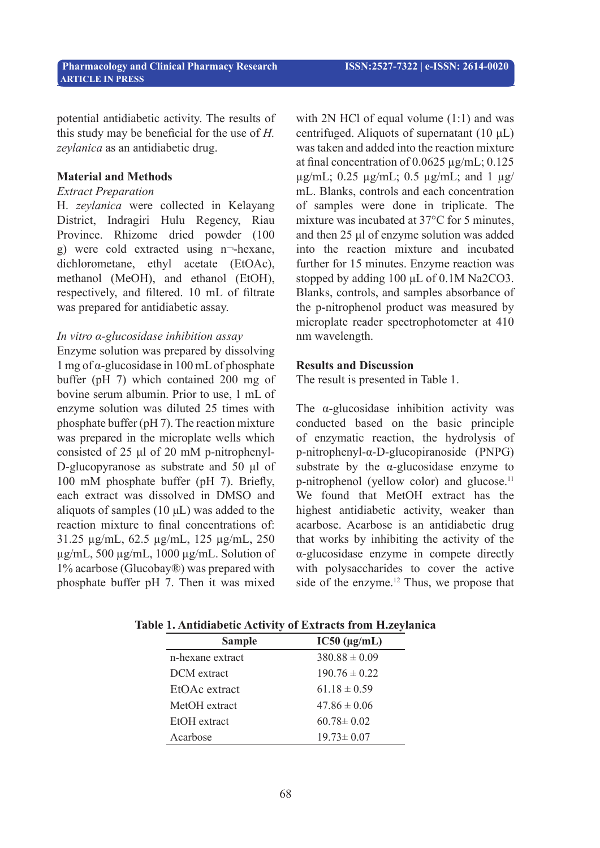potential antidiabetic activity. The results of this study may be beneficial for the use of *H. zeylanica* as an antidiabetic drug.

#### **Material and Methods**

#### *Extract Preparation*

H. *zeylanica* were collected in Kelayang District, Indragiri Hulu Regency, Riau Province. Rhizome dried powder (100 g) were cold extracted using n¬-hexane, dichlorometane, ethyl acetate (EtOAc), methanol (MeOH), and ethanol (EtOH), respectively, and filtered. 10 mL of filtrate was prepared for antidiabetic assay.

## *In vitro α-glucosidase inhibition assay*

Enzyme solution was prepared by dissolving 1 mg of α-glucosidase in 100 mL of phosphate buffer (pH 7) which contained 200 mg of bovine serum albumin. Prior to use, 1 mL of enzyme solution was diluted 25 times with phosphate buffer (pH 7). The reaction mixture was prepared in the microplate wells which consisted of 25 μl of 20 mM p-nitrophenyl-D-glucopyranose as substrate and 50 μl of 100 mM phosphate buffer (pH 7). Briefly, each extract was dissolved in DMSO and aliquots of samples (10 μL) was added to the reaction mixture to final concentrations of: 31.25 µg/mL, 62.5 µg/mL, 125 µg/mL, 250 µg/mL, 500 µg/mL, 1000 µg/mL. Solution of 1% acarbose (Glucobay®) was prepared with phosphate buffer pH 7. Then it was mixed

with 2N HCl of equal volume  $(1:1)$  and was centrifuged. Aliquots of supernatant (10 μL) was taken and added into the reaction mixture at final concentration of  $0.0625 \mu$ g/mL;  $0.125$  $\mu$ g/mL; 0.25  $\mu$ g/mL; 0.5  $\mu$ g/mL; and 1  $\mu$ g/ mL. Blanks, controls and each concentration of samples were done in triplicate. The mixture was incubated at 37°C for 5 minutes, and then 25 μl of enzyme solution was added into the reaction mixture and incubated further for 15 minutes. Enzyme reaction was stopped by adding 100 μL of 0.1M Na2CO3. Blanks, controls, and samples absorbance of the p-nitrophenol product was measured by microplate reader spectrophotometer at 410 nm wavelength.

### **Results and Discussion**

The result is presented in Table 1.

The α-glucosidase inhibition activity was conducted based on the basic principle of enzymatic reaction, the hydrolysis of p-nitrophenyl-α-D-glucopiranoside (PNPG) substrate by the  $\alpha$ -glucosidase enzyme to p-nitrophenol (yellow color) and glucose.<sup>11</sup> We found that MetOH extract has the highest antidiabetic activity, weaker than acarbose. Acarbose is an antidiabetic drug that works by inhibiting the activity of the α-glucosidase enzyme in compete directly with polysaccharides to cover the active side of the enzyme.<sup>12</sup> Thus, we propose that

| <b>Sample</b>    | $IC50$ ( $\mu$ g/mL) |
|------------------|----------------------|
| n-hexane extract | $380.88 \pm 0.09$    |
| DCM extract      | $190.76 \pm 0.22$    |
| EtOAc extract    | $61.18 \pm 0.59$     |
| MetOH extract    | $47.86 \pm 0.06$     |
| EtOH extract     | $60.78 \pm 0.02$     |
| Acarbose         | $19.73 \pm 0.07$     |

**Table 1. Antidiabetic Activity of Extracts from H.zeylanica**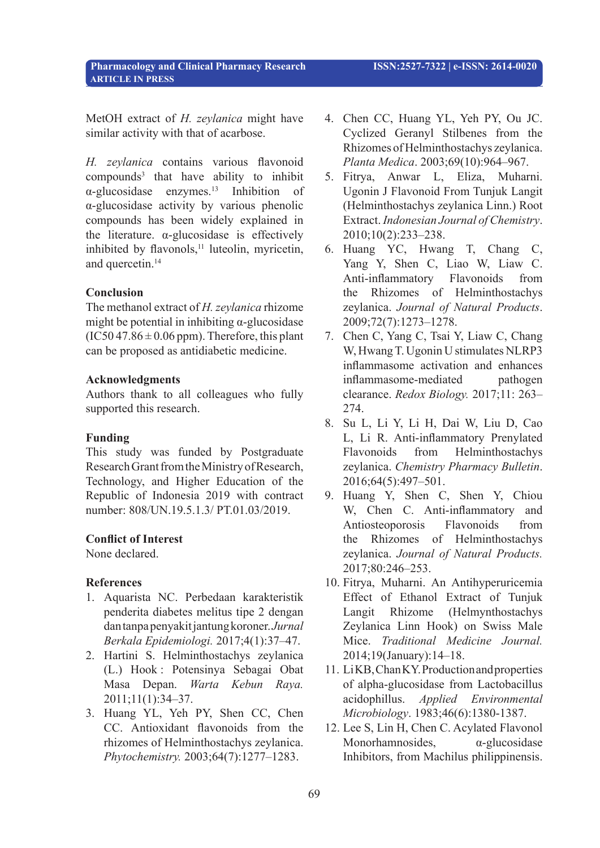MetOH extract of *H. zeylanica* might have similar activity with that of acarbose.

*H. zeylanica* contains various flavonoid compounds3 that have ability to inhibit  $\alpha$ -glucosidase enzymes.<sup>13</sup> Inhibition of α-glucosidase activity by various phenolic compounds has been widely explained in the literature.  $\alpha$ -glucosidase is effectively inhibited by flavonols,<sup>11</sup> luteolin, myricetin, and quercetin.<sup>14</sup>

## **Conclusion**

The methanol extract of *H. zeylanica* rhizome might be potential in inhibiting  $\alpha$ -glucosidase  $(IC50 47.86 \pm 0.06$  ppm). Therefore, this plant can be proposed as antidiabetic medicine.

## **Acknowledgments**

 **ARTICLE IN PRESS** 

Authors thank to all colleagues who fully supported this research.

#### **Funding**

This study was funded by Postgraduate Research Grant from the Ministry of Research, Technology, and Higher Education of the Republic of Indonesia 2019 with contract number: 808/UN.19.5.1.3/ PT.01.03/2019.

## **Conflict of Interest**

None declared.

## **References**

- 1. Aquarista NC. Perbedaan karakteristik penderita diabetes melitus tipe 2 dengan dan tanpa penyakit jantung koroner. *Jurnal Berkala Epidemiologi.* 2017;4(1):37–47.
- 2. Hartini S. Helminthostachys zeylanica (L.) Hook : Potensinya Sebagai Obat Masa Depan. *Warta Kebun Raya.* 2011;11(1):34–37.
- 3. Huang YL, Yeh PY, Shen CC, Chen CC. Antioxidant flavonoids from the rhizomes of Helminthostachys zeylanica. *Phytochemistry.* 2003;64(7):1277–1283.
- 4. Chen CC, Huang YL, Yeh PY, Ou JC. Cyclized Geranyl Stilbenes from the Rhizomes of Helminthostachys zeylanica. *Planta Medica*. 2003;69(10):964–967.
- 5. Fitrya, Anwar L, Eliza, Muharni. Ugonin J Flavonoid From Tunjuk Langit (Helminthostachys zeylanica Linn.) Root Extract. *Indonesian Journal of Chemistry*. 2010;10(2):233–238.
- 6. Huang YC, Hwang T, Chang C, Yang Y, Shen C, Liao W, Liaw C. Anti-inflammatory Flavonoids from the Rhizomes of Helminthostachys zeylanica. *Journal of Natural Products*. 2009;72(7):1273–1278.
- 7. Chen C, Yang C, Tsai Y, Liaw C, Chang W, Hwang T. Ugonin U stimulates NLRP3 inflammasome activation and enhances inflammasome-mediated pathogen clearance. *Redox Biology.* 2017;11: 263– 274.
- 8. Su L, Li Y, Li H, Dai W, Liu D, Cao L, Li R. Anti-inflammatory Prenylated Flavonoids from Helminthostachys zeylanica. *Chemistry Pharmacy Bulletin*. 2016;64(5):497–501.
- 9. Huang Y, Shen C, Shen Y, Chiou W, Chen C. Anti-inflammatory and Antiosteoporosis Flavonoids from the Rhizomes of Helminthostachys zeylanica. *Journal of Natural Products.* 2017;80:246–253.
- 10. Fitrya, Muharni. An Antihyperuricemia Effect of Ethanol Extract of Tunjuk Langit Rhizome (Helmynthostachys Zeylanica Linn Hook) on Swiss Male Mice. *Traditional Medicine Journal.*  2014;19(January):14–18.
- 11. Li KB, Chan KY. Production and properties of alpha-glucosidase from Lactobacillus acidophillus. *Applied Environmental Microbiology*. 1983;46(6):1380-1387.
- 12. Lee S, Lin H, Chen C. Acylated Flavonol Monorhamnosides, α-glucosidase Inhibitors, from Machilus philippinensis.